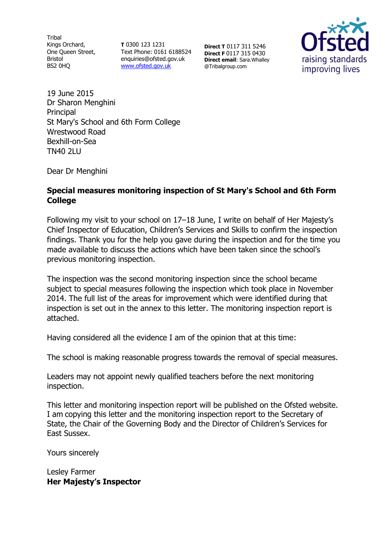**Tribal** Kings Orchard, One Queen Street, Bristol BS2 0HQ

**T** 0300 123 1231 Text Phone: 0161 6188524 enquiries@ofsted.gov.uk [www.ofsted.gov.uk](http://www.ofsted.gov.uk/)

**Direct T** 0117 311 5246 **Direct F** 0117 315 0430 **Direct email**: Sara.Whalley @Tribalgroup.com



19 June 2015 Dr Sharon Menghini Principal St Mary's School and 6th Form College Wrestwood Road Bexhill-on-Sea TN40 2LU

Dear Dr Menghini

#### **Special measures monitoring inspection of St Mary's School and 6th Form College**

Following my visit to your school on 17–18 June, I write on behalf of Her Majesty's Chief Inspector of Education, Children's Services and Skills to confirm the inspection findings. Thank you for the help you gave during the inspection and for the time you made available to discuss the actions which have been taken since the school's previous monitoring inspection.

The inspection was the second monitoring inspection since the school became subject to special measures following the inspection which took place in November 2014. The full list of the areas for improvement which were identified during that inspection is set out in the annex to this letter. The monitoring inspection report is attached.

Having considered all the evidence I am of the opinion that at this time:

The school is making reasonable progress towards the removal of special measures.

Leaders may not appoint newly qualified teachers before the next monitoring inspection.

This letter and monitoring inspection report will be published on the Ofsted website. I am copying this letter and the monitoring inspection report to the Secretary of State, the Chair of the Governing Body and the Director of Children's Services for East Sussex.

Yours sincerely

Lesley Farmer **Her Majesty's Inspector**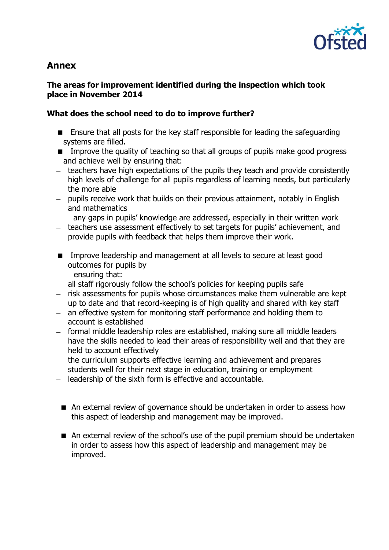

# **Annex**

### **The areas for improvement identified during the inspection which took place in November 2014**

### **What does the school need to do to improve further?**

- Ensure that all posts for the key staff responsible for leading the safeguarding systems are filled.
- **IMPROVE THE GUALITY OF THE SOLUTE SOLUTE 15 IMPROVE THE GUALITY OF CHANGIST** IMPROVERSED IMPROVERS and achieve well by ensuring that:
- teachers have high expectations of the pupils they teach and provide consistently high levels of challenge for all pupils regardless of learning needs, but particularly the more able
- pupils receive work that builds on their previous attainment, notably in English and mathematics

any gaps in pupils' knowledge are addressed, especially in their written work

- teachers use assessment effectively to set targets for pupils' achievement, and provide pupils with feedback that helps them improve their work.
- **IMPROVE LEADERSHIP and management at all levels to secure at least good** outcomes for pupils by ensuring that:
- all staff rigorously follow the school's policies for keeping pupils safe
- risk assessments for pupils whose circumstances make them vulnerable are kept up to date and that record-keeping is of high quality and shared with key staff
- an effective system for monitoring staff performance and holding them to account is established
- formal middle leadership roles are established, making sure all middle leaders have the skills needed to lead their areas of responsibility well and that they are held to account effectively
- the curriculum supports effective learning and achievement and prepares students well for their next stage in education, training or employment
- $-$  leadership of the sixth form is effective and accountable.
	- An external review of governance should be undertaken in order to assess how this aspect of leadership and management may be improved.
	- An external review of the school's use of the pupil premium should be undertaken in order to assess how this aspect of leadership and management may be improved.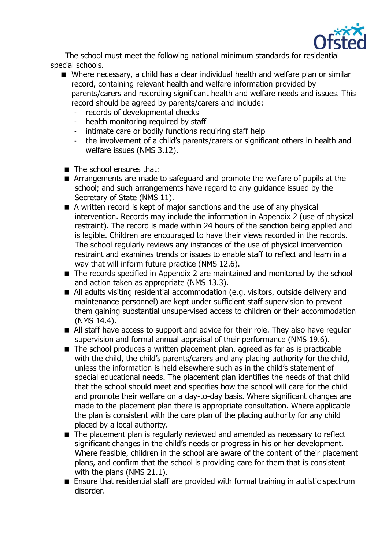

 The school must meet the following national minimum standards for residential special schools.

- Where necessary, a child has a clear individual health and welfare plan or similar record, containing relevant health and welfare information provided by parents/carers and recording significant health and welfare needs and issues. This record should be agreed by parents/carers and include:
	- records of developmental checks
	- health monitoring required by staff
	- intimate care or bodily functions requiring staff help
	- the involvement of a child's parents/carers or significant others in health and welfare issues (NMS 3.12).
- The school ensures that:
- Arrangements are made to safeguard and promote the welfare of pupils at the school; and such arrangements have regard to any guidance issued by the Secretary of State (NMS 11).
- A written record is kept of major sanctions and the use of any physical intervention. Records may include the information in Appendix 2 (use of physical restraint). The record is made within 24 hours of the sanction being applied and is legible. Children are encouraged to have their views recorded in the records. The school regularly reviews any instances of the use of physical intervention restraint and examines trends or issues to enable staff to reflect and learn in a way that will inform future practice (NMS 12.6).
- The records specified in Appendix 2 are maintained and monitored by the school and action taken as appropriate (NMS 13.3).
- All adults visiting residential accommodation (e.g. visitors, outside delivery and maintenance personnel) are kept under sufficient staff supervision to prevent them gaining substantial unsupervised access to children or their accommodation (NMS 14.4).
- All staff have access to support and advice for their role. They also have regular supervision and formal annual appraisal of their performance (NMS 19.6).
- The school produces a written placement plan, agreed as far as is practicable with the child, the child's parents/carers and any placing authority for the child, unless the information is held elsewhere such as in the child's statement of special educational needs. The placement plan identifies the needs of that child that the school should meet and specifies how the school will care for the child and promote their welfare on a day-to-day basis. Where significant changes are made to the placement plan there is appropriate consultation. Where applicable the plan is consistent with the care plan of the placing authority for any child placed by a local authority.
- The placement plan is regularly reviewed and amended as necessary to reflect significant changes in the child's needs or progress in his or her development. Where feasible, children in the school are aware of the content of their placement plans, and confirm that the school is providing care for them that is consistent with the plans (NMS 21.1).
- Ensure that residential staff are provided with formal training in autistic spectrum disorder.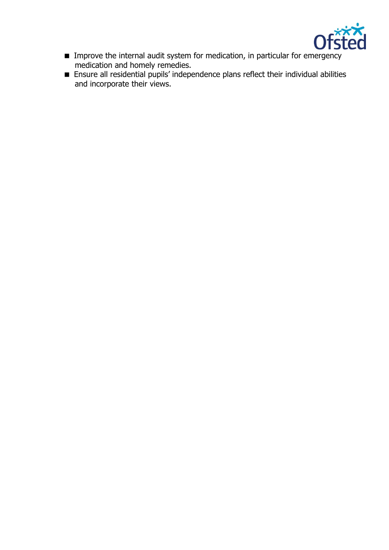

- Improve the internal audit system for medication, in particular for emergency medication and homely remedies.
- Ensure all residential pupils' independence plans reflect their individual abilities and incorporate their views.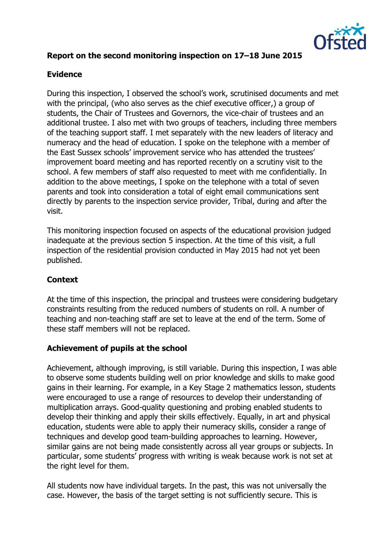

# **Report on the second monitoring inspection on 17–18 June 2015**

#### **Evidence**

During this inspection, I observed the school's work, scrutinised documents and met with the principal, (who also serves as the chief executive officer,) a group of students, the Chair of Trustees and Governors, the vice-chair of trustees and an additional trustee. I also met with two groups of teachers, including three members of the teaching support staff. I met separately with the new leaders of literacy and numeracy and the head of education. I spoke on the telephone with a member of the East Sussex schools' improvement service who has attended the trustees' improvement board meeting and has reported recently on a scrutiny visit to the school. A few members of staff also requested to meet with me confidentially. In addition to the above meetings, I spoke on the telephone with a total of seven parents and took into consideration a total of eight email communications sent directly by parents to the inspection service provider, Tribal, during and after the visit.

This monitoring inspection focused on aspects of the educational provision judged inadequate at the previous section 5 inspection. At the time of this visit, a full inspection of the residential provision conducted in May 2015 had not yet been published.

#### **Context**

At the time of this inspection, the principal and trustees were considering budgetary constraints resulting from the reduced numbers of students on roll. A number of teaching and non-teaching staff are set to leave at the end of the term. Some of these staff members will not be replaced.

#### **Achievement of pupils at the school**

Achievement, although improving, is still variable. During this inspection, I was able to observe some students building well on prior knowledge and skills to make good gains in their learning. For example, in a Key Stage 2 mathematics lesson, students were encouraged to use a range of resources to develop their understanding of multiplication arrays. Good-quality questioning and probing enabled students to develop their thinking and apply their skills effectively. Equally, in art and physical education, students were able to apply their numeracy skills, consider a range of techniques and develop good team-building approaches to learning. However, similar gains are not being made consistently across all year groups or subjects. In particular, some students' progress with writing is weak because work is not set at the right level for them.

All students now have individual targets. In the past, this was not universally the case. However, the basis of the target setting is not sufficiently secure. This is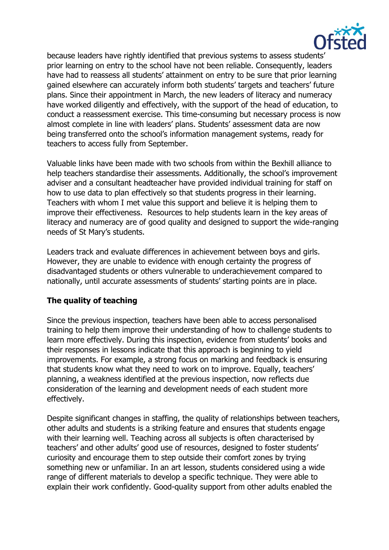

because leaders have rightly identified that previous systems to assess students' prior learning on entry to the school have not been reliable. Consequently, leaders have had to reassess all students' attainment on entry to be sure that prior learning gained elsewhere can accurately inform both students' targets and teachers' future plans. Since their appointment in March, the new leaders of literacy and numeracy have worked diligently and effectively, with the support of the head of education, to conduct a reassessment exercise. This time-consuming but necessary process is now almost complete in line with leaders' plans. Students' assessment data are now being transferred onto the school's information management systems, ready for teachers to access fully from September.

Valuable links have been made with two schools from within the Bexhill alliance to help teachers standardise their assessments. Additionally, the school's improvement adviser and a consultant headteacher have provided individual training for staff on how to use data to plan effectively so that students progress in their learning. Teachers with whom I met value this support and believe it is helping them to improve their effectiveness. Resources to help students learn in the key areas of literacy and numeracy are of good quality and designed to support the wide-ranging needs of St Mary's students.

Leaders track and evaluate differences in achievement between boys and girls. However, they are unable to evidence with enough certainty the progress of disadvantaged students or others vulnerable to underachievement compared to nationally, until accurate assessments of students' starting points are in place.

# **The quality of teaching**

Since the previous inspection, teachers have been able to access personalised training to help them improve their understanding of how to challenge students to learn more effectively. During this inspection, evidence from students' books and their responses in lessons indicate that this approach is beginning to yield improvements. For example, a strong focus on marking and feedback is ensuring that students know what they need to work on to improve. Equally, teachers' planning, a weakness identified at the previous inspection, now reflects due consideration of the learning and development needs of each student more effectively.

Despite significant changes in staffing, the quality of relationships between teachers, other adults and students is a striking feature and ensures that students engage with their learning well. Teaching across all subjects is often characterised by teachers' and other adults' good use of resources, designed to foster students' curiosity and encourage them to step outside their comfort zones by trying something new or unfamiliar. In an art lesson, students considered using a wide range of different materials to develop a specific technique. They were able to explain their work confidently. Good-quality support from other adults enabled the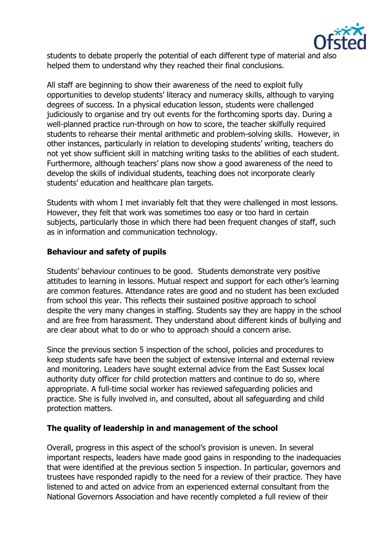

students to debate properly the potential of each different type of material and also helped them to understand why they reached their final conclusions.

All staff are beginning to show their awareness of the need to exploit fully opportunities to develop students' literacy and numeracy skills, although to varying degrees of success. In a physical education lesson, students were challenged judiciously to organise and try out events for the forthcoming sports day. During a well-planned practice run-through on how to score, the teacher skilfully required students to rehearse their mental arithmetic and problem-solving skills. However, in other instances, particularly in relation to developing students' writing, teachers do not yet show sufficient skill in matching writing tasks to the abilities of each student. Furthermore, although teachers' plans now show a good awareness of the need to develop the skills of individual students, teaching does not incorporate clearly students' education and healthcare plan targets.

Students with whom I met invariably felt that they were challenged in most lessons. However, they felt that work was sometimes too easy or too hard in certain subjects, particularly those in which there had been frequent changes of staff, such as in information and communication technology.

#### **Behaviour and safety of pupils**

Students' behaviour continues to be good. Students demonstrate very positive attitudes to learning in lessons. Mutual respect and support for each other's learning are common features. Attendance rates are good and no student has been excluded from school this year. This reflects their sustained positive approach to school despite the very many changes in staffing. Students say they are happy in the school and are free from harassment. They understand about different kinds of bullying and are clear about what to do or who to approach should a concern arise.

Since the previous section 5 inspection of the school, policies and procedures to keep students safe have been the subject of extensive internal and external review and monitoring. Leaders have sought external advice from the East Sussex local authority duty officer for child protection matters and continue to do so, where appropriate. A full-time social worker has reviewed safeguarding policies and practice. She is fully involved in, and consulted, about all safeguarding and child protection matters.

#### **The quality of leadership in and management of the school**

Overall, progress in this aspect of the school's provision is uneven. In several important respects, leaders have made good gains in responding to the inadequacies that were identified at the previous section 5 inspection. In particular, governors and trustees have responded rapidly to the need for a review of their practice. They have listened to and acted on advice from an experienced external consultant from the National Governors Association and have recently completed a full review of their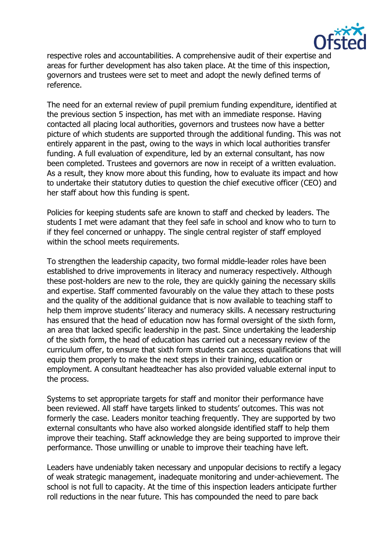

respective roles and accountabilities. A comprehensive audit of their expertise and areas for further development has also taken place. At the time of this inspection, governors and trustees were set to meet and adopt the newly defined terms of reference.

The need for an external review of pupil premium funding expenditure, identified at the previous section 5 inspection, has met with an immediate response. Having contacted all placing local authorities, governors and trustees now have a better picture of which students are supported through the additional funding. This was not entirely apparent in the past, owing to the ways in which local authorities transfer funding. A full evaluation of expenditure, led by an external consultant, has now been completed. Trustees and governors are now in receipt of a written evaluation. As a result, they know more about this funding, how to evaluate its impact and how to undertake their statutory duties to question the chief executive officer (CEO) and her staff about how this funding is spent.

Policies for keeping students safe are known to staff and checked by leaders. The students I met were adamant that they feel safe in school and know who to turn to if they feel concerned or unhappy. The single central register of staff employed within the school meets requirements.

To strengthen the leadership capacity, two formal middle-leader roles have been established to drive improvements in literacy and numeracy respectively. Although these post-holders are new to the role, they are quickly gaining the necessary skills and expertise. Staff commented favourably on the value they attach to these posts and the quality of the additional guidance that is now available to teaching staff to help them improve students' literacy and numeracy skills. A necessary restructuring has ensured that the head of education now has formal oversight of the sixth form, an area that lacked specific leadership in the past. Since undertaking the leadership of the sixth form, the head of education has carried out a necessary review of the curriculum offer, to ensure that sixth form students can access qualifications that will equip them properly to make the next steps in their training, education or employment. A consultant headteacher has also provided valuable external input to the process.

Systems to set appropriate targets for staff and monitor their performance have been reviewed. All staff have targets linked to students' outcomes. This was not formerly the case. Leaders monitor teaching frequently. They are supported by two external consultants who have also worked alongside identified staff to help them improve their teaching. Staff acknowledge they are being supported to improve their performance. Those unwilling or unable to improve their teaching have left.

Leaders have undeniably taken necessary and unpopular decisions to rectify a legacy of weak strategic management, inadequate monitoring and under-achievement. The school is not full to capacity. At the time of this inspection leaders anticipate further roll reductions in the near future. This has compounded the need to pare back